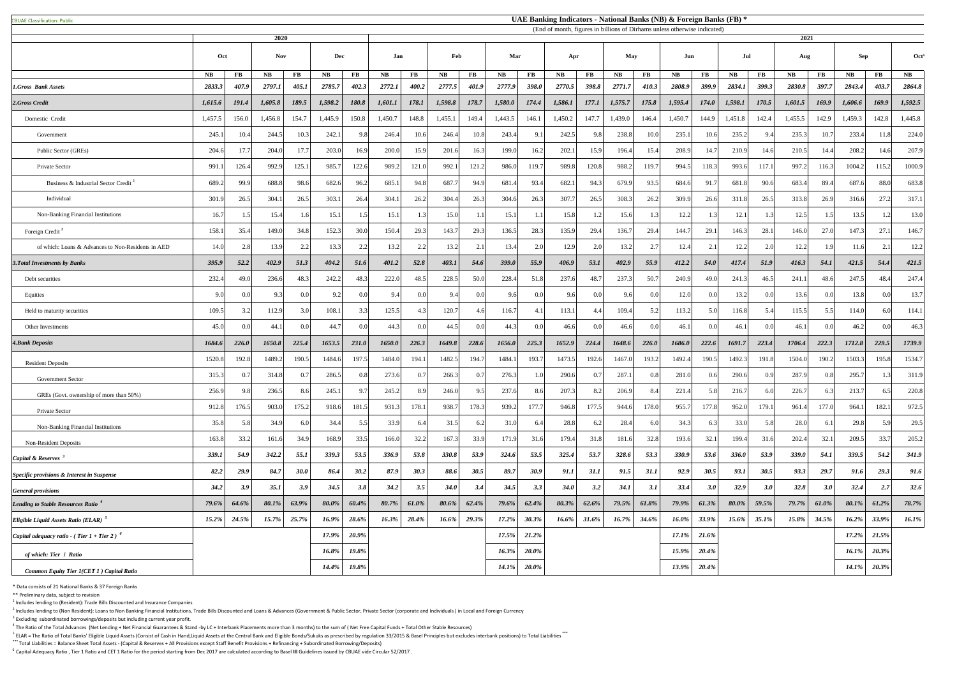CBUAE Classification: Public#

 $<sup>1</sup>$  Includes lending to (Resident): Trade Bills Discounted and Insurance Companies</sup>

 $^2$  Includes lending to (Non Resident): Loans to Non Banking Financial Institutions, Trade Bills Discounted and Loans & Advances (Government & Public Sector, Private Sector (corporate and Individuals) in Local and Foreig  $3$  Excluding subordinated borrowings/deposits but including current year profit.

 $^4$  The Ratio of the Total Advances (Net Lending + Net Financial Guarantees & Stand -by LC + Interbank Placements more than 3 months) to the sum of (Net Free Capital Funds + Total Other Stable Resources)

<sup>5</sup> ELAR = The Ratio of Total Banks' Eligible Liquid Assets (Consist of Cash in Hand,Liquid Assets at the Central Bank and Eligible Bonds/Sukuks as prescribed by regulation 33/2015 & Basel Principles but excludes interbank **\*\*\*** Total Liabilities = Balance Sheet Total Assets - (Capital & Reserves + All Provisions except Staff Benefit Provisions + Refinancing + Subordinated Borrowing/Deposits)

<sup>6</sup> Capital Adequacy Ratio, Tier 1 Ratio and CET 1 Ratio for the period starting from Dec 2017 are calculated according to Basel III Guidelines issued by CBUAE vide Circular 52/2017.

|                                                           |               |          | 2020       |                        |               |                        | (End of month, figures in billions of Dirhams unless otherwise indicated)<br>2021 |                |             |                |              |                |               |          |            |                |         |                        |          |                |         |                |          |                  |               |
|-----------------------------------------------------------|---------------|----------|------------|------------------------|---------------|------------------------|-----------------------------------------------------------------------------------|----------------|-------------|----------------|--------------|----------------|---------------|----------|------------|----------------|---------|------------------------|----------|----------------|---------|----------------|----------|------------------|---------------|
|                                                           | Oct           |          | <b>Nov</b> |                        | Dec           |                        | Jan                                                                               |                | Feb         |                | Mar          |                | Apr           |          | <b>May</b> |                | Jun     |                        | Jul      |                | Aug     |                | Sep      |                  | Oct           |
|                                                           | $N\mathbf{B}$ | $\bf FB$ | NB         | $\mathbf{F}\mathbf{B}$ | $N\mathbf{B}$ | $\mathbf{F}\mathbf{B}$ | <b>NB</b>                                                                         | $\mathbf{FB}$  | <b>NB</b>   | $\bf FB$       | <b>NB</b>    | <b>FB</b>      | $N\mathbf{B}$ | $\bf FB$ | <b>NB</b>  | $\bf FB$       | NB      | $\mathbf{F}\mathbf{B}$ | NB       | $\bf FB$       | NB      | $\mathbf{FB}$  | NB       | $\bf FB$         | $N\mathbf{B}$ |
| 1.Gross Bank Assets                                       | 2833.3        | 407.9    | 2797.1     | 405.1                  | 2785.7        | 402.3                  | 2772.1                                                                            | 400.2          | 2777.5      | 401.9          | 2777.9       | <b>398.0</b>   | 2770.5        | 398.8    | 2771.7     | 410.3          | 2808.9  | 399.9                  | 2834.1   | 399.3          | 2830.8  | 397.7          | 2843.4   | 403.7            | 2864.8        |
| 2.Gross Credit                                            | 1,615.6       | 191.4    | 1,605.8    | 189.5                  | 1,598.2       | 180.8                  | 1,601.1                                                                           | 178.1          | 1,598.8     | 178.7          | 1,580.0      | 174.4          | 1,586.1       | 177.1    | 1,575.7    | 175.8          | 1,595.4 | 174.0                  | 1,598.1  | 170.5          | 1,601.5 | 169.9          | 1,606.6  | 169.9            | 1,592.5       |
| Domestic Credit                                           | 1,457.5       | 156.0    | 1,456.8    | 154.7                  | 1,445.9       | 150.8                  | 1,450.7                                                                           | 148.8          | 1,455.1     | 149.4          | 1,443.5      | 146.1          | 1,450.2       | 147.7    | 1,439.0    | 146.4          | 1,450.7 | 144.9                  | 1,451.8  | 142.4          | 1,455.5 | 142.9          | 1,459.3  | 142.8            | 1,445.8       |
| Government                                                | 245.          | 10.4     | 244.5      | 10.3                   | 242.1         | 9.8                    | 246.4                                                                             | 10.6           | 246.4       | 10.8           | 243.4        | 9.1            | 242.5         | -9.8     | 238.8      | 10.0           | 235.1   | 10.6                   | 235.2    | 9              | 235.3   | 10.7           | 233.4    | 11.8             | 224.0         |
| Public Sector (GREs)                                      | 204.6         | 17.7     | 204.0      | 17.7                   | 203.0         | 16.9                   | 200.0                                                                             | 15.9           | 201.6       | 16.3           | 199.0        | 16.2           | 202.1         | 15.9     | 196.4      | 15.4           | 208.9   | 14.7                   | 210.9    | 14.6           | 210.5   | 14.4           | 208.2    | 14.6             | 207.9         |
| <b>Private Sector</b>                                     | 991.          | 126.4    | 992.9      | 125.1                  | 985.7         | 122.6                  | 989.2                                                                             | 121.0          | 992.1       | 121.2          | 986.0        | 119.7          | 989.8         | 120.8    | 988.2      | 119.7          | 994.5   | 118.3                  | 993.6    | 117.1          | 997.2   | 116.3          | 1004.2   | 115.2            | 1000.9        |
| Business & Industrial Sector Credit                       | 689.2         | 99.9     | 688.8      | 98.6                   | 682.6         | 96.2                   | 685.1                                                                             | 94.8           | 687.7       | 94.9           | 681.4        | 93.4           | 682.1         | 94.3     | 679.9      | 93.5           | 684.6   | 91.7                   | 681.8    | 90.6           | 683.4   | 89.4           | 687.6    | 88.0             | 683.8         |
| Individual                                                | 301.9         | 26.5     | 304.1      | 26.5                   | 303.1         | 26.4                   | 304.1                                                                             | 26.2           | 304.4       | 26.3           | 304.6        | 26.3           | 307.7         | 26.5     | 308.3      | 26.2           | 309.9   | 26.6                   | 311.8    | 26.5           | 313.8   | 26.9           | 316.6    | 27.2             | 317.1         |
| Non-Banking Financial Institutions                        | 16.7          | 1.5      | 15.4       |                        | 15.1          |                        | 15.1                                                                              |                | 15.0        |                | 15.1         |                | 15.8          |          | 15.6       |                | 12.2    | 1.3                    | 12.1     |                | 12.5    |                | 13.5     | 1.2              | 13.0          |
| Foreign Credit <sup>2</sup>                               | 158.          | 35.4     | 149.0      | 34.8                   | 152.3         | 30.0                   | 150.4                                                                             | 29.3           | 143.7       | 29.3           | 136.5        | 28.3           | 135.9         | 29.4     | 136.7      | 29.4           | 144.7   | 29.1                   | 146.3    | 28.1           | 146.0   | 27.0           | 147.3    | 27.1             | 146.7         |
| of which: Loans & Advances to Non-Residents in AED        | 14.0          | 2.8      | 13.9       | 2.2                    | 13.3          | 2.2                    | 13.2                                                                              | 2.2            | 13.2        | 2.1            | 13.4         | 2.0            | 12.9          | 2.0      | 13.2       | 2.7            | 12.4    | 2.1                    | 12.2     |                | 12.2    | 1.9            | 11.6     |                  | 12.2          |
| <b>3. Total Investments by Banks</b>                      | 395.9         | 52.2     | 402.9      | 51.3                   | 404.2         | 51.6                   | 401.2                                                                             | 52.8           | 403.1       | 54.6           | <b>399.0</b> | 55.9           | 406.9         | 53.1     | 402.9      | 55.9           | 412.2   | 54.0                   | 417.4    | 51.9           | 416.3   | 54.1           | 421.5    | 54.4             | 421.5         |
| Debt securities                                           | 232.          | 49.0     | 236.6      | 48.3                   | 242.2         | 48.3                   | 222.0                                                                             | 48.5           | 228.5       | 50.0           | 228.4        | 51.8           | 237.6         | 48.      | 237.3      | 50.7           | 240.9   | 49.0                   | 241.3    | 46.5           | 241.    | 48.6           | 247.5    | 48.4             | 247.4         |
| Equities                                                  | 9.0           | 0.0      | $Q^2$      |                        | 9.2           | $\Omega$               | $\mathbf{Q}$                                                                      | 0 <sup>0</sup> | 9.4         | 0.0            |              | 0.0            | 9.6           |          | 9.6        | 0.0            | 12.0    | 0.0                    | 13.2     |                | 13.6    | 0.0            | 13.8     | 0.01             | 13.7          |
| Held to maturity securities                               | 109.5         | 3.2      | 112.9      | 3.0                    | 108.1         |                        | 125.5                                                                             | 4.3            | 120.7       | 4.6            | 116.7        | 4.1            | 113.1         | 4.       | 109.4      | 5.2            | 113.2   | 5.0                    | 116.8    |                | 115.5   | 5.5            | 114.0    | 6.0              | 114.1         |
| Other Investments                                         | 45.0          | 0.0      | 44.        | 0.0                    | 44.7          | 0.0                    | 44.3                                                                              | 0.0            | 44.5        | 0.0            | 44.3         | 0.0            | 46.6          |          | 46.6       | 0.0            | 46.1    | 0.0 <sub>l</sub>       | 46.1     |                | 46.1    | 0.0            | 46.2     | 0.0 <sup>1</sup> | 46.3          |
| <b>4.Bank Deposits</b>                                    | 1684.6        | 226.0    | 1650.8     | 225.4                  | 1653.5        | 231.0                  | 1650.0                                                                            | 226.3          | 1649.8      | 228.6          | 1656.0       | 225.3          | 1652.9        | 224.4    | 1648.6     | 226.0          | 1686.0  | 222.6                  | 1691.7   | 223.4          | 1706.4  | 222.3          | 1712.8   | 229.5            | 1739.9        |
| <b>Resident Deposits</b>                                  | 1520.8        | 192.8    | 1489.      | 190.5                  | 1484.6        | 197.5                  | 1484.0                                                                            | 194.1          | 1482.5      | 194.7          | 1484.        | 193.7          | 1473.5        | 192.6    | 1467.0     | 193.2          | 1492.4  | 190.5                  | 1492.    | 191.           | 1504.0  | 190.2          | 1503.    | 195.8            | 1534.7        |
| <b>Government Sector</b>                                  | 315.3         | 0.7      | 314.8      | 0.7                    | 286.5         | 0.8                    | 273.6                                                                             | 0.7            | 266.3       | 0.7            | 276.3        | 1.0            | 290.6         |          | 287.       | 0.8            | 281.0   | 0.6                    | 290.6    |                | 287.9   | $0.\xi$        | 295.7    | 1.3              | 311.9         |
| GREs (Govt. ownership of more than 50%)                   | 256.9         | 9.8      | 236.5      | 8.6                    | 245.1         | 97                     | 245.2                                                                             | 8.9            | 246.0       | 9.5            | 237.6        | 8.6            | 207.3         | 8.2      | 206.9      | 8.4            | 221.4   | 5.8                    | 216.7    |                | 226.7   | 6.3            | 213.7    | 6.5              | 220.8         |
| Private Sector                                            | 912.8         | 176.5    | 903.0      | 175.2                  | 918.6         | 181.5                  | 931.                                                                              | 178.1          | 938.        | 178.3          | 939.2        | 177.7          | 946.8         | 177.     | 944.6      | 178.0          | 955.    | 177.8                  | 952.0    | 179.           | 961.    | 177.0          | 964.1    | 182.1            | 972.5         |
| Non-Banking Financial Institutions                        | 35.8          | 5.8      | 34.9       |                        | 34.4          | 5.5                    | 33.9                                                                              | 6.4            | 31.5        | 6.2            | 31.0         | 6.4            | 28.8          | .6       | 28.4       | 6.0            | 34.3    | 6.3                    | 33.0     |                | 28.0    | 6.1            | 29.8     | 5.91             | 29.5          |
| <b>Non-Resident Deposits</b>                              | 163.8         | 33.2     | 161.6      | 34.9                   | 168.9         | 33.5                   | 166.0                                                                             | 32.2           | 167.3       | 33.9           | 171.9        | 31.6           | 179.4         | 31.8     | 181.6      | 32.8           | 193.6   | 32.1                   | 199.4    | 31.6           | 202.4   | 32.1           | 209.5    | 33.7             | 205.2         |
| Capital & Reserves                                        | 339.1         | 54.9     | 342.2      | 55.1                   | 339.3         | 53.5                   | 336.9                                                                             | 53.8           | 330.8       | 53.9           | 324.6        | 53.5           | 325.4         | 53.7     | 328.6      | 53.3           | 330.9   | 53.6                   | 336.0    | 53.9           | 339.0   | 54.1           | 339.5    | 54.2             | 341.9         |
| Specific provisions & Interest in Suspense                | 82.2          | 29.9     | 84.7       | <b>30.0</b>            | 86.4          | 30.2                   | 87.9                                                                              | 30.3           | 88.6        | 30.5           | 89.7         | 30.9           | 91.1          | 31.1     | 91.5       | 31.1           | 92.9    | 30.5                   | 93.1     | 30.5           | 93.3    | 29.7           | 91.6     | 29.3             | 91.6          |
| <b>General provisions</b>                                 | 34.2          | 3.9      | 35.1       | 3.9                    | 34.5          | 3.8                    | 34.2                                                                              | 3.5            | <b>34.0</b> | 3.4            | 34.5         | 3.3            | 34.0          | 3.2      | 34.1       | 3.1            | 33.4    | 3.0                    | 32.9     | 3.0            | 32.8    | 3.0            | 32.4     | 2.7              | 32.6          |
| <b>Lending to Stable Resources Ratio</b>                  | 79.6%         | 64.6%    | 80.1%      | 63.9%                  | 80.0%         | 60.4%                  | 80.7%                                                                             | 61.0%          | 80.6%       | 62.4%          | 79.6%        | 62.4%          | 80.3%         | 62.6%    | 79.5%      | 61.8%          | 79.9%   | 61.3%                  | $80.0\%$ | 59.5%          | 79.7%   | 61.0%          | 80.1%    | 61.2%            | 78.7%         |
| Eligible Liquid Assets Ratio (ELAR) <sup>5</sup>          | $15.2\%$      | 24.5%    |            | $15.7\%$ 25.7%         | $16.9\%$      | 28.6%                  |                                                                                   | $16.3\%$ 28.4% |             | $16.6\%$ 29.3% |              | $17.2\%$ 30.3% | $16.6\%$      | $31.6\%$ |            | $16.7\%$ 34.6% |         | $16.0\%$ 33.9%         |          | $15.6\%$ 35.1% |         | $15.8\%$ 34.5% |          | $16.2\%$ 33.9%   | $16.1\%$      |
| Capital adequacy ratio - (Tier $1 +$ Tier 2) <sup>6</sup> |               |          |            |                        | 17.9%         | 20.9%                  |                                                                                   |                |             |                | 17.5%        | 21.2%          |               |          |            |                | 17.1%   | $21.6\%$               |          |                |         |                | $17.2\%$ | 21.5%            |               |
| of which: Tier 1 Ratio                                    |               |          |            |                        | 16.8%         | 19.8%                  |                                                                                   |                |             |                | $16.3\%$     | $20.0\%$       |               |          |            |                | 15.9%   | 20.4%                  |          |                |         |                | $16.1\%$ | $20.3\%$         |               |
| Common Equity Tier 1(CET 1) Capital Ratio                 |               |          |            |                        | 14.4%         | 19.8%                  |                                                                                   |                |             |                | $14.1\%$     | $20.0\%$       |               |          |            |                | 13.9%   | $20.4\%$               |          |                |         |                | $14.1\%$ | $20.3\%$         |               |

\* Data consists of 21 National Banks & 37 Foreign Banks

\*\* Preliminary data, subject to revision

## **UAE Banking Indicators - National Banks (NB) & Foreign Banks (FB) \***

(End of month, figures in billions of Dirhams unless otherwise indicated)